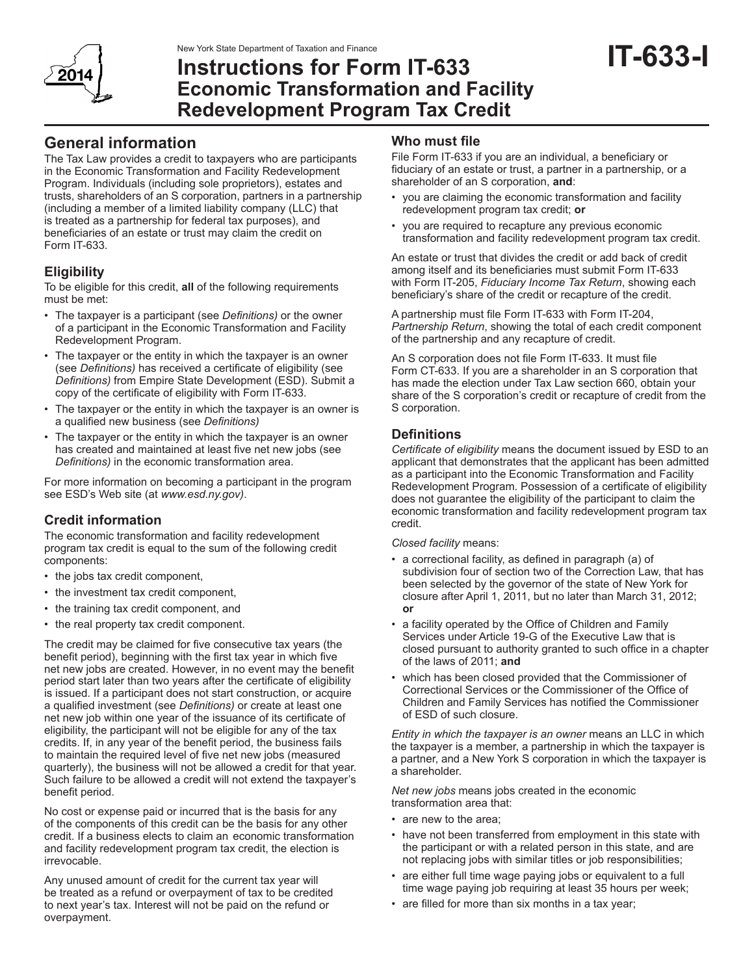

# **Instructions for Form IT-633 Economic Transformation and Facility Redevelopment Program Tax Credit**

# **General information**

The Tax Law provides a credit to taxpayers who are participants in the Economic Transformation and Facility Redevelopment Program. Individuals (including sole proprietors), estates and trusts, shareholders of an S corporation, partners in a partnership (including a member of a limited liability company (LLC) that is treated as a partnership for federal tax purposes), and beneficiaries of an estate or trust may claim the credit on Form IT-633.

## **Eligibility**

To be eligible for this credit, **all** of the following requirements must be met:

- The taxpayer is a participant (see *Definitions)* or the owner of a participant in the Economic Transformation and Facility Redevelopment Program.
- The taxpayer or the entity in which the taxpayer is an owner (see *Definitions)* has received a certificate of eligibility (see *Definitions)* from Empire State Development (ESD). Submit a copy of the certificate of eligibility with Form IT-633.
- The taxpayer or the entity in which the taxpayer is an owner is a qualified new business (see *Definitions)*
- The taxpayer or the entity in which the taxpayer is an owner has created and maintained at least five net new jobs (see *Definitions)* in the economic transformation area.

For more information on becoming a participant in the program see ESD's Web site (at *www.esd.ny.gov)*.

## **Credit information**

The economic transformation and facility redevelopment program tax credit is equal to the sum of the following credit components:

- the jobs tax credit component,
- the investment tax credit component,
- the training tax credit component, and
- the real property tax credit component.

The credit may be claimed for five consecutive tax years (the benefit period), beginning with the first tax year in which five net new jobs are created. However, in no event may the benefit period start later than two years after the certificate of eligibility is issued. If a participant does not start construction, or acquire a qualified investment (see *Definitions)* or create at least one net new job within one year of the issuance of its certificate of eligibility, the participant will not be eligible for any of the tax credits. If, in any year of the benefit period, the business fails to maintain the required level of five net new jobs (measured quarterly), the business will not be allowed a credit for that year. Such failure to be allowed a credit will not extend the taxpayer's benefit period.

No cost or expense paid or incurred that is the basis for any of the components of this credit can be the basis for any other credit. If a business elects to claim an economic transformation and facility redevelopment program tax credit, the election is irrevocable.

Any unused amount of credit for the current tax year will be treated as a refund or overpayment of tax to be credited to next year's tax. Interest will not be paid on the refund or overpayment.

### **Who must file**

File Form IT-633 if you are an individual, a beneficiary or fiduciary of an estate or trust, a partner in a partnership, or a shareholder of an S corporation, **and**:

- you are claiming the economic transformation and facility redevelopment program tax credit; **or**
- you are required to recapture any previous economic transformation and facility redevelopment program tax credit.

An estate or trust that divides the credit or add back of credit among itself and its beneficiaries must submit Form IT-633 with Form IT-205, *Fiduciary Income Tax Return*, showing each beneficiary's share of the credit or recapture of the credit.

A partnership must file Form IT-633 with Form IT-204, *Partnership Return*, showing the total of each credit component of the partnership and any recapture of credit.

An S corporation does not file Form IT-633. It must file Form CT-633. If you are a shareholder in an S corporation that has made the election under Tax Law section 660, obtain your share of the S corporation's credit or recapture of credit from the S corporation.

### **Definitions**

*Certificate of eligibility* means the document issued by ESD to an applicant that demonstrates that the applicant has been admitted as a participant into the Economic Transformation and Facility Redevelopment Program. Possession of a certificate of eligibility does not guarantee the eligibility of the participant to claim the economic transformation and facility redevelopment program tax credit.

*Closed facility* means:

- a correctional facility, as defined in paragraph (a) of subdivision four of section two of the Correction Law, that has been selected by the governor of the state of New York for closure after April 1, 2011, but no later than March 31, 2012; **or**
- a facility operated by the Office of Children and Family Services under Article 19-G of the Executive Law that is closed pursuant to authority granted to such office in a chapter of the laws of 2011; **and**
- which has been closed provided that the Commissioner of Correctional Services or the Commissioner of the Office of Children and Family Services has notified the Commissioner of ESD of such closure.

*Entity in which the taxpayer is an owner* means an LLC in which the taxpayer is a member, a partnership in which the taxpayer is a partner, and a New York S corporation in which the taxpayer is a shareholder.

*Net new jobs* means jobs created in the economic transformation area that:

- are new to the area;
- have not been transferred from employment in this state with the participant or with a related person in this state, and are not replacing jobs with similar titles or job responsibilities;
- are either full time wage paying jobs or equivalent to a full time wage paying job requiring at least 35 hours per week;
- are filled for more than six months in a tax year;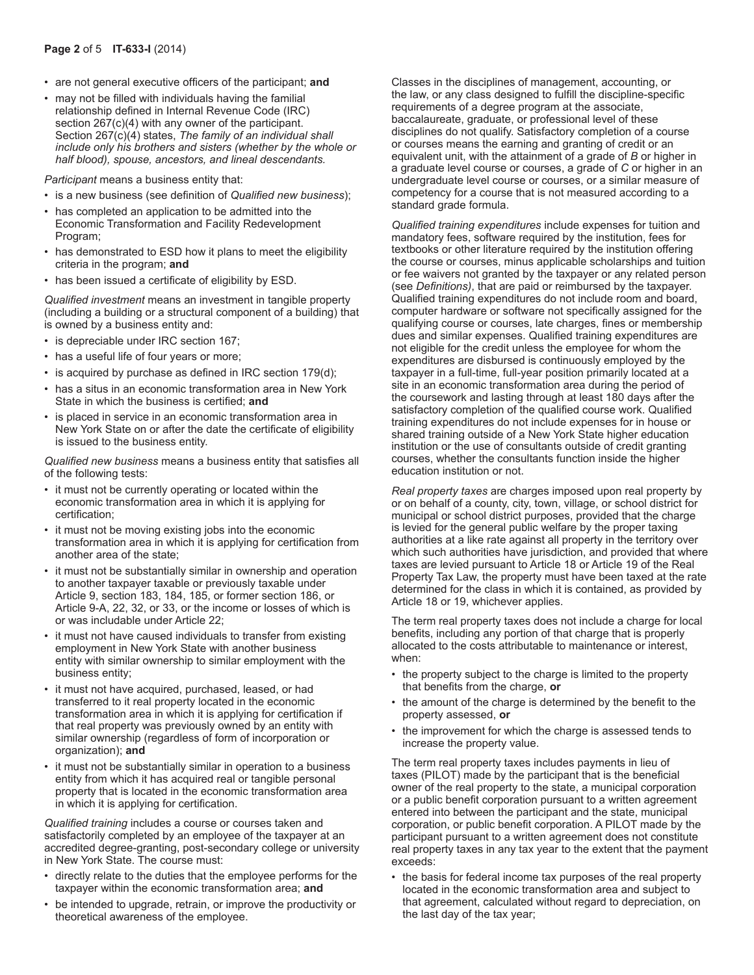- are not general executive officers of the participant; **and**
- may not be filled with individuals having the familial relationship defined in Internal Revenue Code (IRC) section 267(c)(4) with any owner of the participant. Section 267(c)(4) states, *The family of an individual shall include only his brothers and sisters (whether by the whole or half blood), spouse, ancestors, and lineal descendants.*

*Participant* means a business entity that:

- is a new business (see definition of *Qualified new business*);
- has completed an application to be admitted into the Economic Transformation and Facility Redevelopment Program;
- has demonstrated to ESD how it plans to meet the eligibility criteria in the program; **and**
- has been issued a certificate of eligibility by ESD.

*Qualified investment* means an investment in tangible property (including a building or a structural component of a building) that is owned by a business entity and:

- is depreciable under IRC section 167;
- has a useful life of four years or more;
- is acquired by purchase as defined in IRC section 179(d);
- has a situs in an economic transformation area in New York State in which the business is certified; **and**
- is placed in service in an economic transformation area in New York State on or after the date the certificate of eligibility is issued to the business entity.

*Qualified new business* means a business entity that satisfies all of the following tests:

- it must not be currently operating or located within the economic transformation area in which it is applying for certification;
- it must not be moving existing jobs into the economic transformation area in which it is applying for certification from another area of the state;
- it must not be substantially similar in ownership and operation to another taxpayer taxable or previously taxable under Article 9, section 183, 184, 185, or former section 186, or Article 9-A, 22, 32, or 33, or the income or losses of which is or was includable under Article 22;
- it must not have caused individuals to transfer from existing employment in New York State with another business entity with similar ownership to similar employment with the business entity;
- it must not have acquired, purchased, leased, or had transferred to it real property located in the economic transformation area in which it is applying for certification if that real property was previously owned by an entity with similar ownership (regardless of form of incorporation or organization); **and**
- it must not be substantially similar in operation to a business entity from which it has acquired real or tangible personal property that is located in the economic transformation area in which it is applying for certification.

*Qualified training* includes a course or courses taken and satisfactorily completed by an employee of the taxpayer at an accredited degree-granting, post-secondary college or university in New York State. The course must:

- directly relate to the duties that the employee performs for the taxpayer within the economic transformation area; **and**
- be intended to upgrade, retrain, or improve the productivity or theoretical awareness of the employee.

Classes in the disciplines of management, accounting, or the law, or any class designed to fulfill the discipline-specific requirements of a degree program at the associate, baccalaureate, graduate, or professional level of these disciplines do not qualify. Satisfactory completion of a course or courses means the earning and granting of credit or an equivalent unit, with the attainment of a grade of *B* or higher in a graduate level course or courses, a grade of *C* or higher in an undergraduate level course or courses, or a similar measure of competency for a course that is not measured according to a standard grade formula.

*Qualified training expenditures* include expenses for tuition and mandatory fees, software required by the institution, fees for textbooks or other literature required by the institution offering the course or courses, minus applicable scholarships and tuition or fee waivers not granted by the taxpayer or any related person (see *Definitions)*, that are paid or reimbursed by the taxpayer. Qualified training expenditures do not include room and board, computer hardware or software not specifically assigned for the qualifying course or courses, late charges, fines or membership dues and similar expenses. Qualified training expenditures are not eligible for the credit unless the employee for whom the expenditures are disbursed is continuously employed by the taxpayer in a full-time, full-year position primarily located at a site in an economic transformation area during the period of the coursework and lasting through at least 180 days after the satisfactory completion of the qualified course work. Qualified training expenditures do not include expenses for in house or shared training outside of a New York State higher education institution or the use of consultants outside of credit granting courses, whether the consultants function inside the higher education institution or not.

*Real property taxes* are charges imposed upon real property by or on behalf of a county, city, town, village, or school district for municipal or school district purposes, provided that the charge is levied for the general public welfare by the proper taxing authorities at a like rate against all property in the territory over which such authorities have jurisdiction, and provided that where taxes are levied pursuant to Article 18 or Article 19 of the Real Property Tax Law, the property must have been taxed at the rate determined for the class in which it is contained, as provided by Article 18 or 19, whichever applies.

The term real property taxes does not include a charge for local benefits, including any portion of that charge that is properly allocated to the costs attributable to maintenance or interest, when:

- the property subject to the charge is limited to the property that benefits from the charge, **or**
- the amount of the charge is determined by the benefit to the property assessed, **or**
- the improvement for which the charge is assessed tends to increase the property value.

The term real property taxes includes payments in lieu of taxes (PILOT) made by the participant that is the beneficial owner of the real property to the state, a municipal corporation or a public benefit corporation pursuant to a written agreement entered into between the participant and the state, municipal corporation, or public benefit corporation. A PILOT made by the participant pursuant to a written agreement does not constitute real property taxes in any tax year to the extent that the payment exceeds:

• the basis for federal income tax purposes of the real property located in the economic transformation area and subject to that agreement, calculated without regard to depreciation, on the last day of the tax year;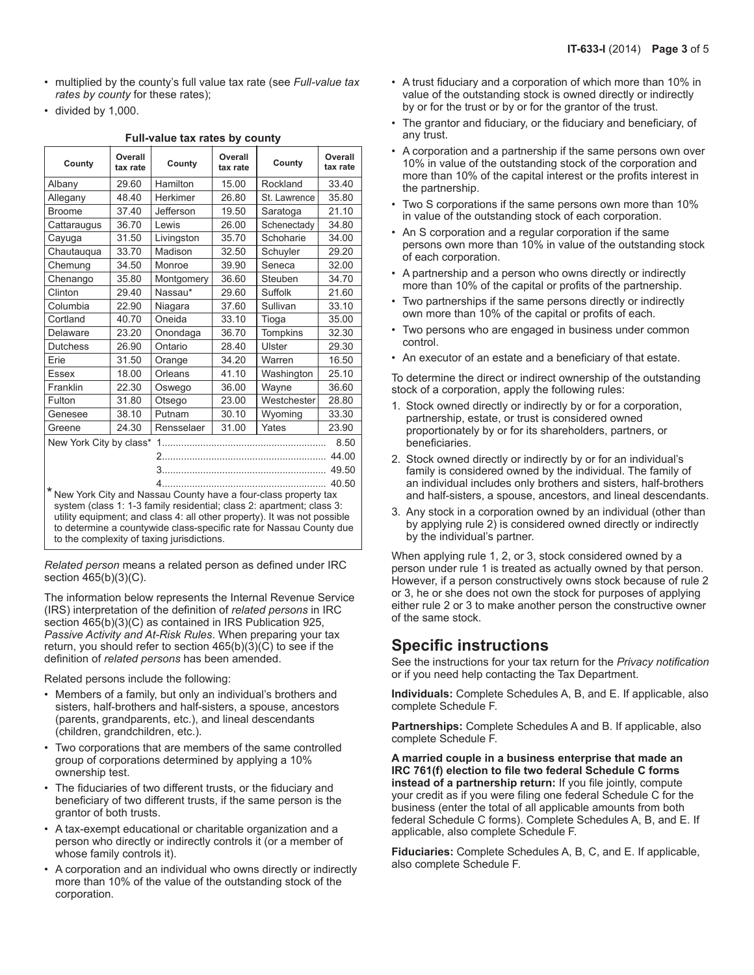- multiplied by the county's full value tax rate (see *Full-value tax rates by county* for these rates);
- divided by 1,000.

#### **Full-value tax rates by county**

| County                                                                                                                                                                                                                                                                                                                                     | Overall<br>tax rate | County     | Overall<br>tax rate | County       | Overall<br>tax rate |
|--------------------------------------------------------------------------------------------------------------------------------------------------------------------------------------------------------------------------------------------------------------------------------------------------------------------------------------------|---------------------|------------|---------------------|--------------|---------------------|
| Albany                                                                                                                                                                                                                                                                                                                                     | 29.60               | Hamilton   | 15.00               | Rockland     | 33.40               |
| Allegany                                                                                                                                                                                                                                                                                                                                   | 48.40               | Herkimer   | 26.80               | St. Lawrence | 35.80               |
| <b>Broome</b>                                                                                                                                                                                                                                                                                                                              | 37.40               | Jefferson  | 19.50               | Saratoga     | 21.10               |
| Cattaraugus                                                                                                                                                                                                                                                                                                                                | 36.70               | Lewis      | 26.00               | Schenectady  | 34.80               |
| Cayuga                                                                                                                                                                                                                                                                                                                                     | 31.50               | Livingston | 35.70               | Schoharie    | 34.00               |
| Chautaugua                                                                                                                                                                                                                                                                                                                                 | 33.70               | Madison    | 32.50               | Schuyler     | 29.20               |
| Chemung                                                                                                                                                                                                                                                                                                                                    | 34.50               | Monroe     | 39.90               | Seneca       | 32.00               |
| Chenango                                                                                                                                                                                                                                                                                                                                   | 35.80               | Montgomery | 36.60               | Steuben      | 34.70               |
| Clinton                                                                                                                                                                                                                                                                                                                                    | 29.40               | Nassau*    | 29.60               | Suffolk      | 21.60               |
| Columbia                                                                                                                                                                                                                                                                                                                                   | 22.90               | Niagara    | 37.60               | Sullivan     | 33.10               |
| Cortland                                                                                                                                                                                                                                                                                                                                   | 40.70               | Oneida     | 33.10               | Tioga        | 35.00               |
| Delaware                                                                                                                                                                                                                                                                                                                                   | 23.20               | Onondaga   | 36.70               | Tompkins     | 32.30               |
| <b>Dutchess</b>                                                                                                                                                                                                                                                                                                                            | 26.90               | Ontario    | 28.40               | Ulster       | 29.30               |
| Erie                                                                                                                                                                                                                                                                                                                                       | 31.50               | Orange     | 34.20               | Warren       | 16.50               |
| <b>Essex</b>                                                                                                                                                                                                                                                                                                                               | 18.00               | Orleans    | 41.10               | Washington   | 25.10               |
| Franklin                                                                                                                                                                                                                                                                                                                                   | 22.30               | Oswego     | 36.00               | Wayne        | 36.60               |
| Fulton                                                                                                                                                                                                                                                                                                                                     | 31.80               | Otsego     | 23.00               | Westchester  | 28.80               |
| Genesee                                                                                                                                                                                                                                                                                                                                    | 38.10               | Putnam     | 30.10               | Wyoming      | 33.30               |
| Greene                                                                                                                                                                                                                                                                                                                                     | 24.30               | Rensselaer | 31.00               | Yates        | 23.90               |
| New York City by class*<br>8.50                                                                                                                                                                                                                                                                                                            |                     |            |                     |              |                     |
| 44.00                                                                                                                                                                                                                                                                                                                                      |                     |            |                     |              |                     |
| 49.50                                                                                                                                                                                                                                                                                                                                      |                     |            |                     |              |                     |
| 40.50                                                                                                                                                                                                                                                                                                                                      |                     |            |                     |              |                     |
| * New York City and Nassau County have a four-class property tax<br>system (class 1: 1-3 family residential; class 2: apartment; class 3:<br>utility equipment; and class 4: all other property). It was not possible<br>to determine a countywide class-specific rate for Nassau County due<br>to the complexity of taxing jurisdictions. |                     |            |                     |              |                     |

*Related person* means a related person as defined under IRC section 465(b)(3)(C).

The information below represents the Internal Revenue Service (IRS) interpretation of the definition of *related persons* in IRC section 465(b)(3)(C) as contained in IRS Publication 925, *Passive Activity and At-Risk Rules*. When preparing your tax return, you should refer to section 465(b)(3)(C) to see if the definition of *related persons* has been amended.

Related persons include the following:

- Members of a family, but only an individual's brothers and sisters, half-brothers and half-sisters, a spouse, ancestors (parents, grandparents, etc.), and lineal descendants (children, grandchildren, etc.).
- Two corporations that are members of the same controlled group of corporations determined by applying a 10% ownership test.
- The fiduciaries of two different trusts, or the fiduciary and beneficiary of two different trusts, if the same person is the grantor of both trusts.
- A tax-exempt educational or charitable organization and a person who directly or indirectly controls it (or a member of whose family controls it).
- A corporation and an individual who owns directly or indirectly more than 10% of the value of the outstanding stock of the corporation.
- A trust fiduciary and a corporation of which more than 10% in value of the outstanding stock is owned directly or indirectly by or for the trust or by or for the grantor of the trust.
- The grantor and fiduciary, or the fiduciary and beneficiary, of any trust.
- A corporation and a partnership if the same persons own over 10% in value of the outstanding stock of the corporation and more than 10% of the capital interest or the profits interest in the partnership.
- Two S corporations if the same persons own more than 10% in value of the outstanding stock of each corporation.
- An S corporation and a regular corporation if the same persons own more than 10% in value of the outstanding stock of each corporation.
- A partnership and a person who owns directly or indirectly more than 10% of the capital or profits of the partnership.
- Two partnerships if the same persons directly or indirectly own more than 10% of the capital or profits of each.
- Two persons who are engaged in business under common control.
- An executor of an estate and a beneficiary of that estate.

To determine the direct or indirect ownership of the outstanding stock of a corporation, apply the following rules:

- 1. Stock owned directly or indirectly by or for a corporation, partnership, estate, or trust is considered owned proportionately by or for its shareholders, partners, or beneficiaries.
- 2. Stock owned directly or indirectly by or for an individual's family is considered owned by the individual. The family of an individual includes only brothers and sisters, half-brothers and half-sisters, a spouse, ancestors, and lineal descendants.
- 3. Any stock in a corporation owned by an individual (other than by applying rule 2) is considered owned directly or indirectly by the individual's partner.

When applying rule 1, 2, or 3, stock considered owned by a person under rule 1 is treated as actually owned by that person. However, if a person constructively owns stock because of rule 2 or 3, he or she does not own the stock for purposes of applying either rule 2 or 3 to make another person the constructive owner of the same stock.

### **Specific instructions**

See the instructions for your tax return for the *Privacy notification*  or if you need help contacting the Tax Department.

**Individuals:** Complete Schedules A, B, and E. If applicable, also complete Schedule F.

**Partnerships:** Complete Schedules A and B. If applicable, also complete Schedule F.

**A married couple in a business enterprise that made an IRC 761(f) election to file two federal Schedule C forms instead of a partnership return:** If you file jointly, compute your credit as if you were filing one federal Schedule C for the business (enter the total of all applicable amounts from both federal Schedule C forms). Complete Schedules A, B, and E. If applicable, also complete Schedule F.

**Fiduciaries:** Complete Schedules A, B, C, and E. If applicable, also complete Schedule F.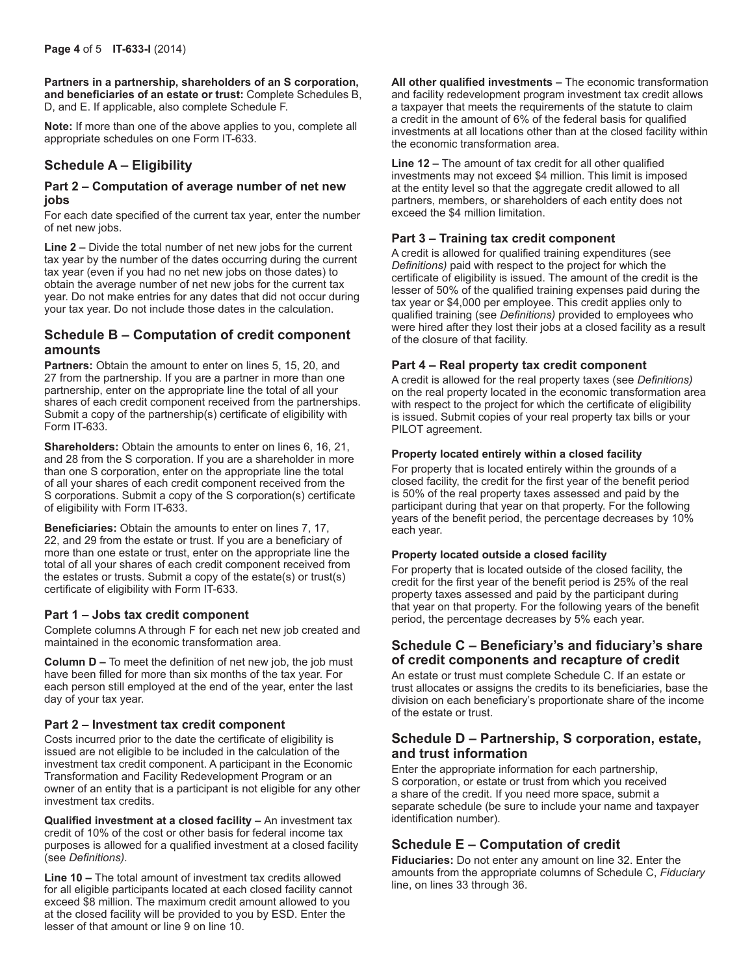**Partners in a partnership, shareholders of an S corporation, and beneficiaries of an estate or trust:** Complete Schedules B, D, and E. If applicable, also complete Schedule F.

**Note:** If more than one of the above applies to you, complete all appropriate schedules on one Form IT-633.

### **Schedule A – Eligibility**

#### **Part 2 – Computation of average number of net new jobs**

For each date specified of the current tax year, enter the number of net new jobs.

**Line 2 –** Divide the total number of net new jobs for the current tax year by the number of the dates occurring during the current tax year (even if you had no net new jobs on those dates) to obtain the average number of net new jobs for the current tax year. Do not make entries for any dates that did not occur during your tax year. Do not include those dates in the calculation.

#### **Schedule B – Computation of credit component amounts**

Partners: Obtain the amount to enter on lines 5, 15, 20, and 27 from the partnership. If you are a partner in more than one partnership, enter on the appropriate line the total of all your shares of each credit component received from the partnerships. Submit a copy of the partnership(s) certificate of eligibility with Form IT-633.

**Shareholders:** Obtain the amounts to enter on lines 6, 16, 21, and 28 from the S corporation. If you are a shareholder in more than one S corporation, enter on the appropriate line the total of all your shares of each credit component received from the S corporations. Submit a copy of the S corporation(s) certificate of eligibility with Form IT-633.

**Beneficiaries:** Obtain the amounts to enter on lines 7, 17, 22, and 29 from the estate or trust. If you are a beneficiary of more than one estate or trust, enter on the appropriate line the total of all your shares of each credit component received from the estates or trusts. Submit a copy of the estate(s) or trust(s) certificate of eligibility with Form IT-633.

#### **Part 1 – Jobs tax credit component**

Complete columns A through F for each net new job created and maintained in the economic transformation area.

**Column D –** To meet the definition of net new job, the job must have been filled for more than six months of the tax year. For each person still employed at the end of the year, enter the last day of your tax year.

#### **Part 2 – Investment tax credit component**

Costs incurred prior to the date the certificate of eligibility is issued are not eligible to be included in the calculation of the investment tax credit component. A participant in the Economic Transformation and Facility Redevelopment Program or an owner of an entity that is a participant is not eligible for any other investment tax credits.

**Qualified investment at a closed facility –** An investment tax credit of 10% of the cost or other basis for federal income tax purposes is allowed for a qualified investment at a closed facility (see *Definitions).*

**Line 10 –** The total amount of investment tax credits allowed for all eligible participants located at each closed facility cannot exceed \$8 million. The maximum credit amount allowed to you at the closed facility will be provided to you by ESD. Enter the lesser of that amount or line 9 on line 10.

**All other qualified investments –** The economic transformation and facility redevelopment program investment tax credit allows a taxpayer that meets the requirements of the statute to claim a credit in the amount of 6% of the federal basis for qualified investments at all locations other than at the closed facility within the economic transformation area.

**Line 12 –** The amount of tax credit for all other qualified investments may not exceed \$4 million. This limit is imposed at the entity level so that the aggregate credit allowed to all partners, members, or shareholders of each entity does not exceed the \$4 million limitation.

#### **Part 3 – Training tax credit component**

A credit is allowed for qualified training expenditures (see *Definitions)* paid with respect to the project for which the certificate of eligibility is issued. The amount of the credit is the lesser of 50% of the qualified training expenses paid during the tax year or \$4,000 per employee. This credit applies only to qualified training (see *Definitions)* provided to employees who were hired after they lost their jobs at a closed facility as a result of the closure of that facility.

#### **Part 4 – Real property tax credit component**

A credit is allowed for the real property taxes (see *Definitions)* on the real property located in the economic transformation area with respect to the project for which the certificate of eligibility is issued. Submit copies of your real property tax bills or your PILOT agreement.

#### **Property located entirely within a closed facility**

For property that is located entirely within the grounds of a closed facility, the credit for the first year of the benefit period is 50% of the real property taxes assessed and paid by the participant during that year on that property. For the following years of the benefit period, the percentage decreases by 10% each year.

#### **Property located outside a closed facility**

For property that is located outside of the closed facility, the credit for the first year of the benefit period is 25% of the real property taxes assessed and paid by the participant during that year on that property. For the following years of the benefit period, the percentage decreases by 5% each year.

#### **Schedule C – Beneficiary's and fiduciary's share of credit components and recapture of credit**

An estate or trust must complete Schedule C. If an estate or trust allocates or assigns the credits to its beneficiaries, base the division on each beneficiary's proportionate share of the income of the estate or trust.

### **Schedule D – Partnership, S corporation, estate, and trust information**

Enter the appropriate information for each partnership, S corporation, or estate or trust from which you received a share of the credit. If you need more space, submit a separate schedule (be sure to include your name and taxpayer identification number).

### **Schedule E – Computation of credit**

**Fiduciaries:** Do not enter any amount on line 32. Enter the amounts from the appropriate columns of Schedule C, *Fiduciary* line, on lines 33 through 36.